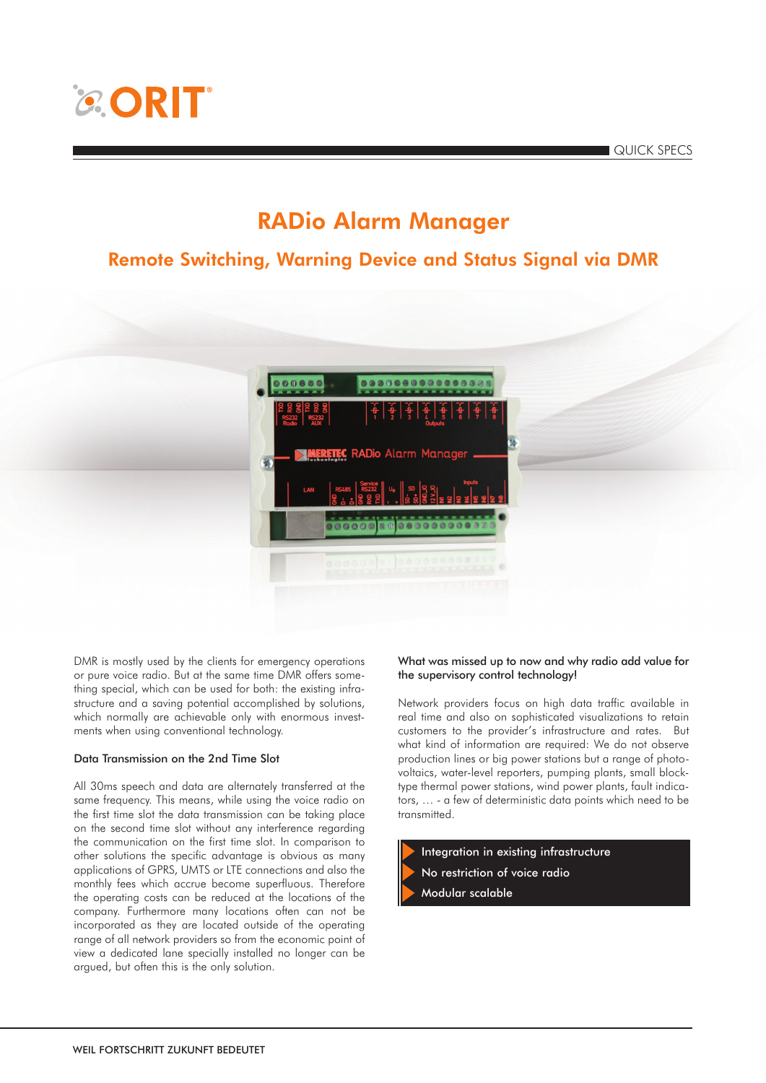# **CORIT**

QUICK SPECS

### RADio Alarm Manager

### Remote Switching, Warning Device and Status Signal via DMR



DMR is mostly used by the clients for emergency operations or pure voice radio. But at the same time DMR offers something special, which can be used for both: the existing infrastructure and a saving potential accomplished by solutions, which normally are achievable only with enormous investments when using conventional technology.

#### Data Transmission on the 2nd Time Slot

All 30ms speech and data are alternately transferred at the same frequency. This means, while using the voice radio on the first time slot the data transmission can be taking place on the second time slot without any interference regarding the communication on the first time slot. In comparison to other solutions the specific advantage is obvious as many applications of GPRS, UMTS or LTE connections and also the monthly fees which accrue become superfluous. Therefore the operating costs can be reduced at the locations of the company. Furthermore many locations often can not be incorporated as they are located outside of the operating range of all network providers so from the economic point of view a dedicated lane specially installed no longer can be argued, but often this is the only solution.

#### What was missed up to now and why radio add value for the supervisory control technology!

Network providers focus on high data traffic available in real time and also on sophisticated visualizations to retain customers to the provider's infrastructure and rates. But what kind of information are required: We do not observe production lines or big power stations but a range of photovoltaics, water-level reporters, pumping plants, small blocktype thermal power stations, wind power plants, fault indicators, … - a few of deterministic data points which need to be transmitted.



- No restriction of voice radio
- Modular scalable